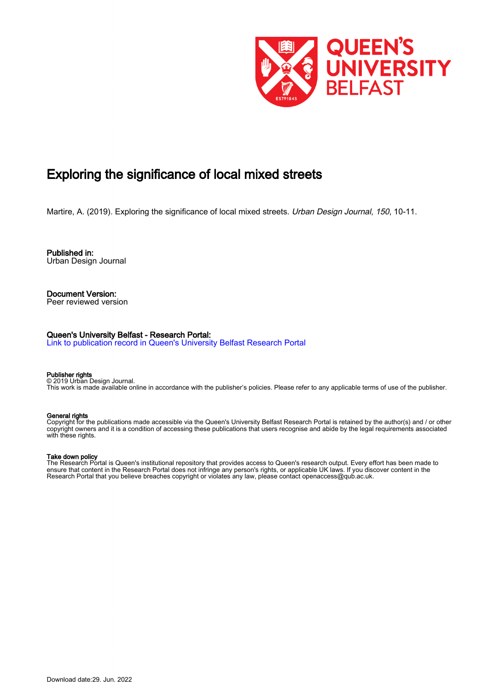

# Exploring the significance of local mixed streets

Martire, A. (2019). Exploring the significance of local mixed streets. Urban Design Journal, 150, 10-11.

Published in: Urban Design Journal

Document Version: Peer reviewed version

# Queen's University Belfast - Research Portal:

[Link to publication record in Queen's University Belfast Research Portal](https://pure.qub.ac.uk/en/publications/9a0a6f74-dbe3-4ca2-80be-3788f0f549fc)

### Publisher rights

© 2019 Urban Design Journal. This work is made available online in accordance with the publisher's policies. Please refer to any applicable terms of use of the publisher.

## General rights

Copyright for the publications made accessible via the Queen's University Belfast Research Portal is retained by the author(s) and / or other copyright owners and it is a condition of accessing these publications that users recognise and abide by the legal requirements associated with these rights.

# Take down policy

The Research Portal is Queen's institutional repository that provides access to Queen's research output. Every effort has been made to ensure that content in the Research Portal does not infringe any person's rights, or applicable UK laws. If you discover content in the Research Portal that you believe breaches copyright or violates any law, please contact openaccess@qub.ac.uk.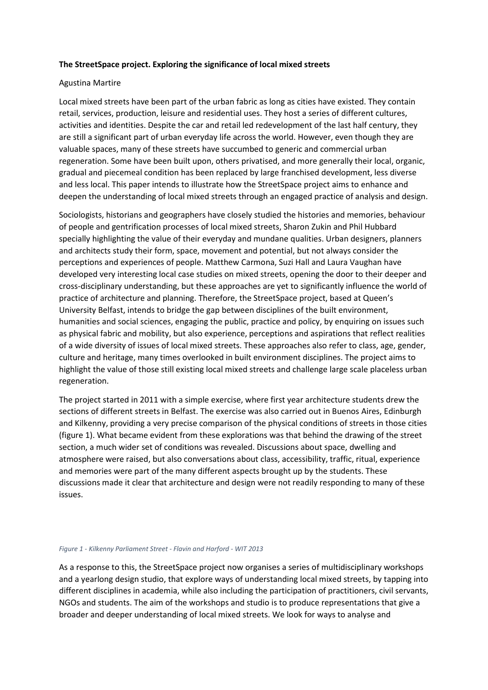# The StreetSpace project. Exploring the significance of local mixed streets

# Agustina Martire

Local mixed streets have been part of the urban fabric as long as cities have existed. They contain retail, services, production, leisure and residential uses. They host a series of different cultures, activities and identities. Despite the car and retail led redevelopment of the last half century, they are still a significant part of urban everyday life across the world. However, even though they are valuable spaces, many of these streets have succumbed to generic and commercial urban regeneration. Some have been built upon, others privatised, and more generally their local, organic, gradual and piecemeal condition has been replaced by large franchised development, less diverse and less local. This paper intends to illustrate how the StreetSpace project aims to enhance and deepen the understanding of local mixed streets through an engaged practice of analysis and design.

Sociologists, historians and geographers have closely studied the histories and memories, behaviour of people and gentrification processes of local mixed streets, Sharon Zukin and Phil Hubbard specially highlighting the value of their everyday and mundane qualities. Urban designers, planners and architects study their form, space, movement and potential, but not always consider the perceptions and experiences of people. Matthew Carmona, Suzi Hall and Laura Vaughan have developed very interesting local case studies on mixed streets, opening the door to their deeper and cross-disciplinary understanding, but these approaches are yet to significantly influence the world of practice of architecture and planning. Therefore, the StreetSpace project, based at Queen's University Belfast, intends to bridge the gap between disciplines of the built environment, humanities and social sciences, engaging the public, practice and policy, by enquiring on issues such as physical fabric and mobility, but also experience, perceptions and aspirations that reflect realities of a wide diversity of issues of local mixed streets. These approaches also refer to class, age, gender, culture and heritage, many times overlooked in built environment disciplines. The project aims to highlight the value of those still existing local mixed streets and challenge large scale placeless urban regeneration.

The project started in 2011 with a simple exercise, where first year architecture students drew the sections of different streets in Belfast. The exercise was also carried out in Buenos Aires, Edinburgh and Kilkenny, providing a very precise comparison of the physical conditions of streets in those cities (figure 1). What became evident from these explorations was that behind the drawing of the street section, a much wider set of conditions was revealed. Discussions about space, dwelling and atmosphere were raised, but also conversations about class, accessibility, traffic, ritual, experience and memories were part of the many different aspects brought up by the students. These discussions made it clear that architecture and design were not readily responding to many of these issues.

# Figure 1 - Kilkenny Parliament Street - Flavin and Harford - WIT 2013

As a response to this, the StreetSpace project now organises a series of multidisciplinary workshops and a yearlong design studio, that explore ways of understanding local mixed streets, by tapping into different disciplines in academia, while also including the participation of practitioners, civil servants, NGOs and students. The aim of the workshops and studio is to produce representations that give a broader and deeper understanding of local mixed streets. We look for ways to analyse and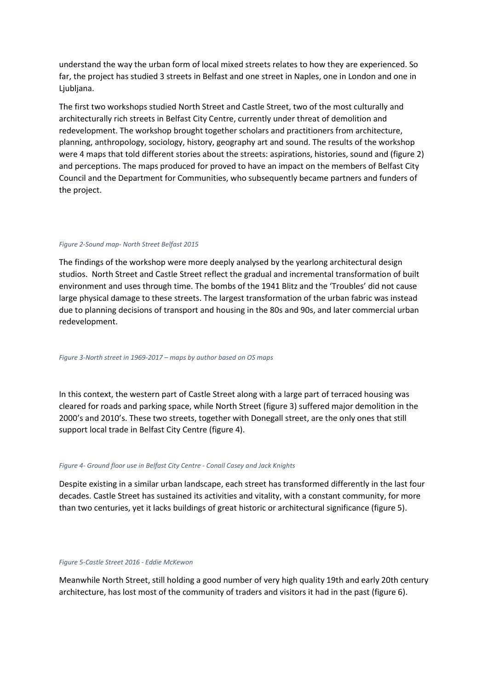understand the way the urban form of local mixed streets relates to how they are experienced. So far, the project has studied 3 streets in Belfast and one street in Naples, one in London and one in Ljubljana.

The first two workshops studied North Street and Castle Street, two of the most culturally and architecturally rich streets in Belfast City Centre, currently under threat of demolition and redevelopment. The workshop brought together scholars and practitioners from architecture, planning, anthropology, sociology, history, geography art and sound. The results of the workshop were 4 maps that told different stories about the streets: aspirations, histories, sound and (figure 2) and perceptions. The maps produced for proved to have an impact on the members of Belfast City Council and the Department for Communities, who subsequently became partners and funders of the project.

# Figure 2-Sound map- North Street Belfast 2015

The findings of the workshop were more deeply analysed by the yearlong architectural design studios. North Street and Castle Street reflect the gradual and incremental transformation of built environment and uses through time. The bombs of the 1941 Blitz and the 'Troubles' did not cause large physical damage to these streets. The largest transformation of the urban fabric was instead due to planning decisions of transport and housing in the 80s and 90s, and later commercial urban redevelopment.

#### Figure 3-North street in 1969-2017 – maps by author based on OS maps

In this context, the western part of Castle Street along with a large part of terraced housing was cleared for roads and parking space, while North Street (figure 3) suffered major demolition in the 2000's and 2010's. These two streets, together with Donegall street, are the only ones that still support local trade in Belfast City Centre (figure 4).

#### Figure 4- Ground floor use in Belfast City Centre - Conall Casey and Jack Knights

Despite existing in a similar urban landscape, each street has transformed differently in the last four decades. Castle Street has sustained its activities and vitality, with a constant community, for more than two centuries, yet it lacks buildings of great historic or architectural significance (figure 5).

# Figure 5-Castle Street 2016 - Eddie McKewon

Meanwhile North Street, still holding a good number of very high quality 19th and early 20th century architecture, has lost most of the community of traders and visitors it had in the past (figure 6).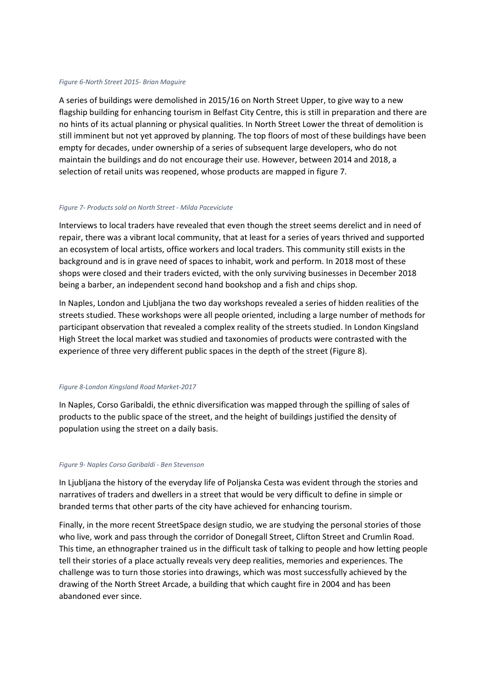# Figure 6-North Street 2015- Brian Maguire

A series of buildings were demolished in 2015/16 on North Street Upper, to give way to a new flagship building for enhancing tourism in Belfast City Centre, this is still in preparation and there are no hints of its actual planning or physical qualities. In North Street Lower the threat of demolition is still imminent but not yet approved by planning. The top floors of most of these buildings have been empty for decades, under ownership of a series of subsequent large developers, who do not maintain the buildings and do not encourage their use. However, between 2014 and 2018, a selection of retail units was reopened, whose products are mapped in figure 7.

# Figure 7- Products sold on North Street - Milda Paceviciute

Interviews to local traders have revealed that even though the street seems derelict and in need of repair, there was a vibrant local community, that at least for a series of years thrived and supported an ecosystem of local artists, office workers and local traders. This community still exists in the background and is in grave need of spaces to inhabit, work and perform. In 2018 most of these shops were closed and their traders evicted, with the only surviving businesses in December 2018 being a barber, an independent second hand bookshop and a fish and chips shop.

In Naples, London and Ljubljana the two day workshops revealed a series of hidden realities of the streets studied. These workshops were all people oriented, including a large number of methods for participant observation that revealed a complex reality of the streets studied. In London Kingsland High Street the local market was studied and taxonomies of products were contrasted with the experience of three very different public spaces in the depth of the street (Figure 8).

# Figure 8-London Kingsland Road Market-2017

In Naples, Corso Garibaldi, the ethnic diversification was mapped through the spilling of sales of products to the public space of the street, and the height of buildings justified the density of population using the street on a daily basis.

#### Figure 9- Naples Corso Garibaldi - Ben Stevenson

In Ljubljana the history of the everyday life of Poljanska Cesta was evident through the stories and narratives of traders and dwellers in a street that would be very difficult to define in simple or branded terms that other parts of the city have achieved for enhancing tourism.

Finally, in the more recent StreetSpace design studio, we are studying the personal stories of those who live, work and pass through the corridor of Donegall Street, Clifton Street and Crumlin Road. This time, an ethnographer trained us in the difficult task of talking to people and how letting people tell their stories of a place actually reveals very deep realities, memories and experiences. The challenge was to turn those stories into drawings, which was most successfully achieved by the drawing of the North Street Arcade, a building that which caught fire in 2004 and has been abandoned ever since.